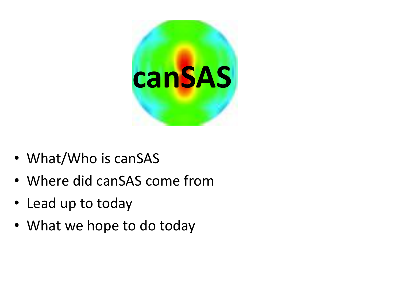

- What/Who is canSAS
- Where did canSAS come from
- Lead up to today
- What we hope to do today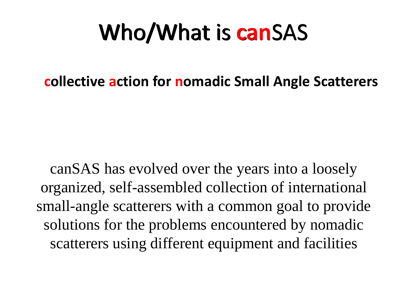# Who/What is canSAS Who/What is **can**SAS

**collective action for nomadic Small Angle Scatterers**

canSAS has evolved over the years into a loosely organized, self-assembled collection of international small-angle scatterers with a common goal to provide solutions for the problems encountered by nomadic scatterers using different equipment and facilities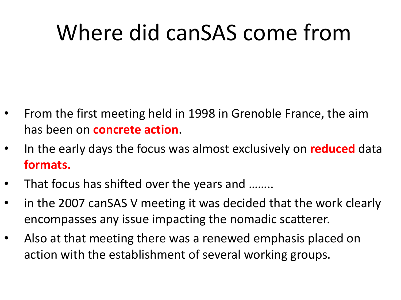## Where did canSAS come from

- From the first meeting held in 1998 in Grenoble France, the aim has been on **concrete action**.
- In the early days the focus was almost exclusively on **reduced** data **formats.**
- That focus has shifted over the years and ........
- in the 2007 canSAS V meeting it was decided that the work clearly encompasses any issue impacting the nomadic scatterer.
- Also at that meeting there was a renewed emphasis placed on action with the establishment of several working groups.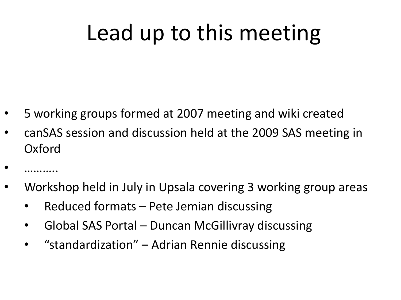## Lead up to this meeting

- 5 working groups formed at 2007 meeting and wiki created
- canSAS session and discussion held at the 2009 SAS meeting in Oxford
- •<br>…………
- Workshop held in July in Upsala covering 3 working group areas
	- Reduced formats Pete Jemian discussing
	- Global SAS Portal Duncan McGillivray discussing
	- "standardization" Adrian Rennie discussing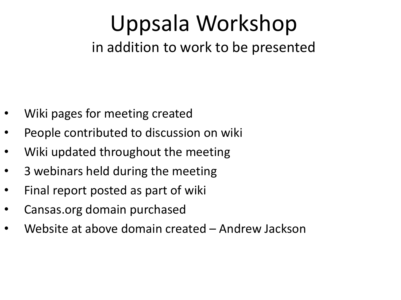### Uppsala Workshop in addition to work to be presented

- Wiki pages for meeting created
- People contributed to discussion on wiki
- Wiki updated throughout the meeting
- 3 webinars held during the meeting
- Final report posted as part of wiki
- Cansas.org domain purchased
- Website at above domain created Andrew Jackson